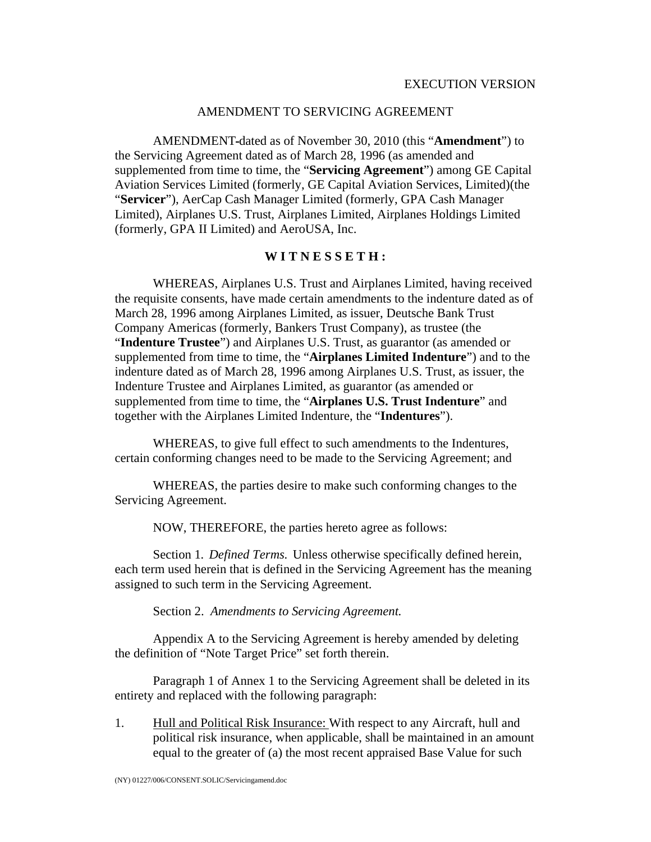## AMENDMENT TO SERVICING AGREEMENT

AMENDMENT dated as of November 30, 2010 (this "**Amendment**") to the Servicing Agreement dated as of March 28, 1996 (as amended and supplemented from time to time, the "**Servicing Agreement**") among GE Capital Aviation Services Limited (formerly, GE Capital Aviation Services, Limited)(the "**Servicer**"), AerCap Cash Manager Limited (formerly, GPA Cash Manager Limited), Airplanes U.S. Trust, Airplanes Limited, Airplanes Holdings Limited (formerly, GPA II Limited) and AeroUSA, Inc.

## **W I T N E S S E T H :**

WHEREAS, Airplanes U.S. Trust and Airplanes Limited, having received the requisite consents, have made certain amendments to the indenture dated as of March 28, 1996 among Airplanes Limited, as issuer, Deutsche Bank Trust Company Americas (formerly, Bankers Trust Company), as trustee (the "**Indenture Trustee**") and Airplanes U.S. Trust, as guarantor (as amended or supplemented from time to time, the "**Airplanes Limited Indenture**") and to the indenture dated as of March 28, 1996 among Airplanes U.S. Trust, as issuer, the Indenture Trustee and Airplanes Limited, as guarantor (as amended or supplemented from time to time, the "**Airplanes U.S. Trust Indenture**" and together with the Airplanes Limited Indenture, the "**Indentures**").

WHEREAS, to give full effect to such amendments to the Indentures, certain conforming changes need to be made to the Servicing Agreement; and

WHEREAS, the parties desire to make such conforming changes to the Servicing Agreement.

NOW, THEREFORE, the parties hereto agree as follows:

Section 1*. Defined Terms.* Unless otherwise specifically defined herein, each term used herein that is defined in the Servicing Agreement has the meaning assigned to such term in the Servicing Agreement.

Section 2. *Amendments to Servicing Agreement.*

Appendix A to the Servicing Agreement is hereby amended by deleting the definition of "Note Target Price" set forth therein.

Paragraph 1 of Annex 1 to the Servicing Agreement shall be deleted in its entirety and replaced with the following paragraph:

1. Hull and Political Risk Insurance: With respect to any Aircraft, hull and political risk insurance, when applicable, shall be maintained in an amount equal to the greater of (a) the most recent appraised Base Value for such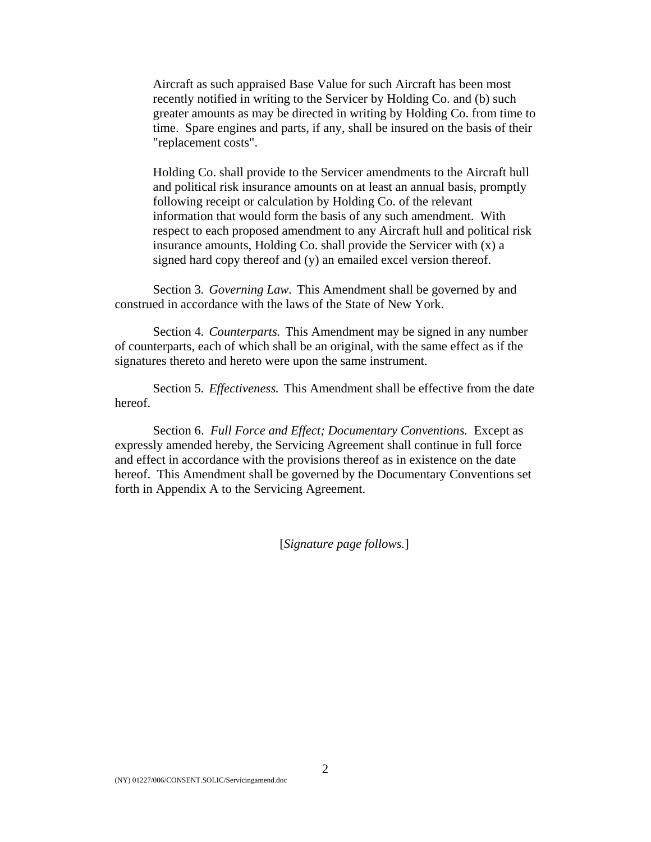Aircraft as such appraised Base Value for such Aircraft has been most recently notified in writing to the Servicer by Holding Co. and (b) such greater amounts as may be directed in writing by Holding Co. from time to time. Spare engines and parts, if any, shall be insured on the basis of their "replacement costs".

 Holding Co. shall provide to the Servicer amendments to the Aircraft hull and political risk insurance amounts on at least an annual basis, promptly following receipt or calculation by Holding Co. of the relevant information that would form the basis of any such amendment. With respect to each proposed amendment to any Aircraft hull and political risk insurance amounts, Holding Co. shall provide the Servicer with (x) a signed hard copy thereof and (y) an emailed excel version thereof.

Section 3*. Governing Law.* This Amendment shall be governed by and construed in accordance with the laws of the State of New York.

Section 4*. Counterparts.* This Amendment may be signed in any number of counterparts, each of which shall be an original, with the same effect as if the signatures thereto and hereto were upon the same instrument.

Section 5*. Effectiveness.* This Amendment shall be effective from the date hereof.

Section 6. *Full Force and Effect; Documentary Conventions.* Except as expressly amended hereby, the Servicing Agreement shall continue in full force and effect in accordance with the provisions thereof as in existence on the date hereof. This Amendment shall be governed by the Documentary Conventions set forth in Appendix A to the Servicing Agreement.

[*Signature page follows.*]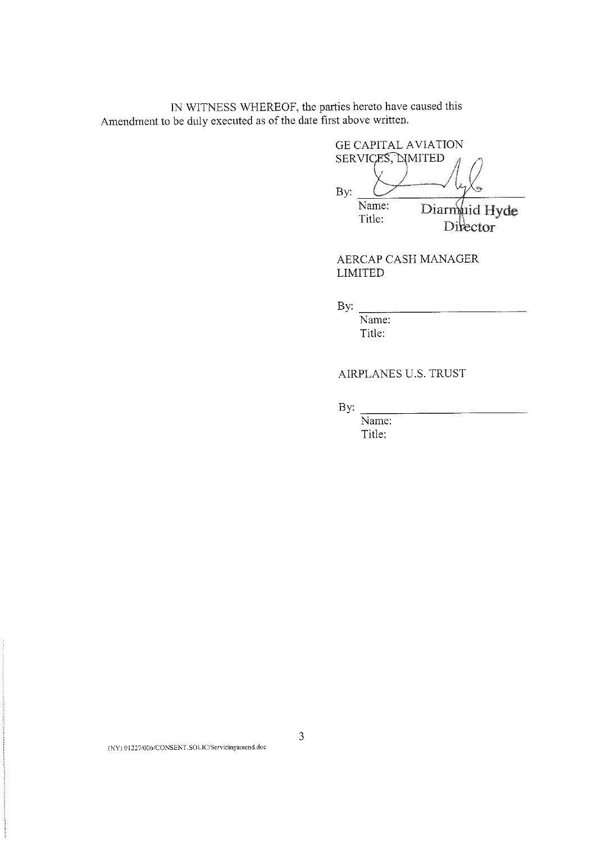IN WITNESS WHEREOF, the parties hereto have caused this Amendment to be duly executed as of the date first above written.

**GE CAPITAL AVIATION** SERVICES, NMITED By: Name: Diarmuid Hyde Title: Divector

AERCAP CASH MANAGER **LIMITED** 

 $\mathbf{By:}$ 

Name: Title:

## AIRPLANES U.S. TRUST

By:

Name: Title:

(NY) 01227/006/CONSENT.SOLIC/Servicingamend.doc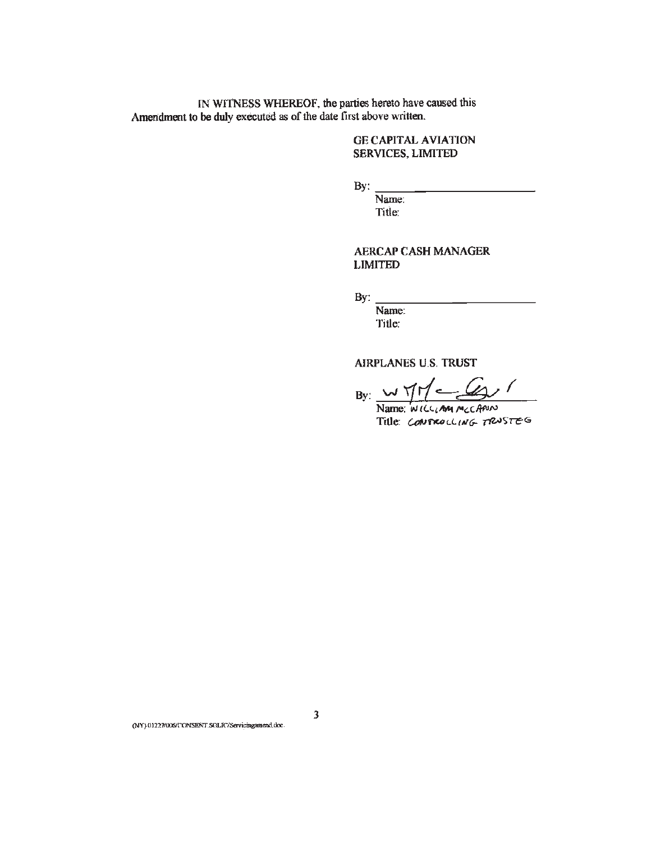IN WITNESS WHEREOF, the parties hereto have caused this Amendment to be duly executed as of the date first above written.

### **GE CAPITAL AVIATION SERVICES, LIMITED**

By:

Name: Title:

**AERCAP CASH MANAGER LIMITED** 

 $\mathcal{L}^{\text{max}}$  $By:$ 

Name: Title:

**AIRPLANES U.S. TRUST** 

 $By: wYH = 601$ 

Name: WILLIAM MCCANN Title: CONTROLLING TRUSTEG

(NY) 01227/006/CONSENT.SOLIC/Servicingamend.doc.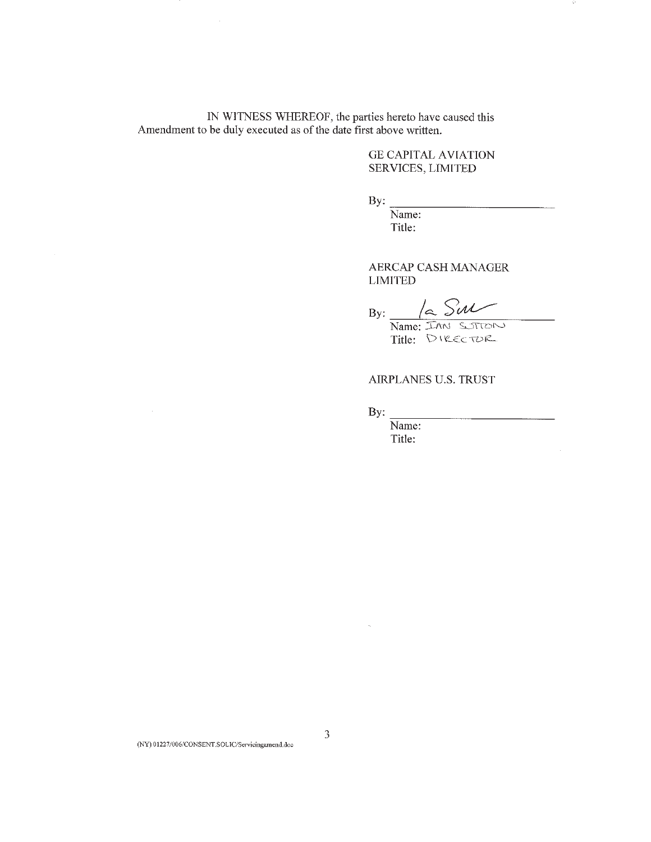IN WITNESS WHEREOF, the parties hereto have caused this Amendment to be duly executed as of the date first above written.

> **GE CAPITAL AVIATION** SERVICES, LIMITED

Ŷ,

 $\frac{1}{2}$ 

By:

Name: Title:

AERCAP CASH MANAGER **LIMITED** 

By:  $\frac{2}{\text{Name: IAM} \text{ SUM}}$ 

Title: DIRECTOR

AIRPLANES U.S. TRUST

By:

Name: Title: